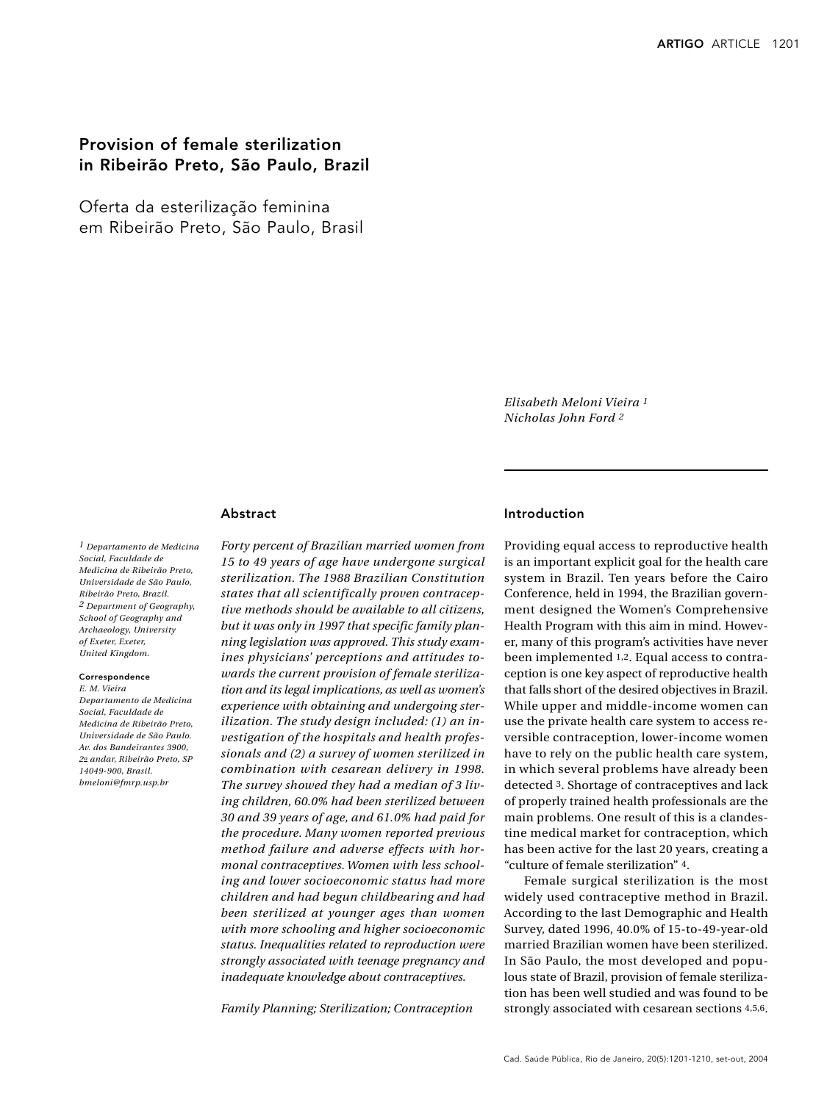# Provision of female sterilization in Ribeirão Preto, São Paulo, Brazil

Oferta da esterilização feminina em Ribeirão Preto, São Paulo, Brasil

> *Elisabeth Meloni Vieira 1 Nicholas John Ford 2*

## Abstract

*1 Departamento de Medicina Social, Faculdade de Medicina de Ribeirão Preto, Universidade de São Paulo, Ribeirão Preto, Brazil. 2 Department of Geography, School of Geography and Archaeology, University of Exeter, Exeter, United Kingdom.*

## Correspondence

*E. M. Vieira Departamento de Medicina Social, Faculdade de Medicina de Ribeirão Preto, Universidade de São Paulo. Av. dos Bandeirantes 3900, 2o andar, Ribeirão Preto, SP 14049-900, Brasil. bmeloni@fmrp.usp.br*

*Forty percent of Brazilian married women from 15 to 49 years of age have undergone surgical sterilization. The 1988 Brazilian Constitution states that all scientifically proven contraceptive methods should be available to all citizens, but it was only in 1997 that specific family planning legislation was approved. This study examines physicians' perceptions and attitudes towards the current provision of female sterilization and its legal implications, as well as women's experience with obtaining and undergoing sterilization. The study design included: (1) an investigation of the hospitals and health professionals and (2) a survey of women sterilized in combination with cesarean delivery in 1998. The survey showed they had a median of 3 living children, 60.0% had been sterilized between 30 and 39 years of age, and 61.0% had paid for the procedure. Many women reported previous method failure and adverse effects with hormonal contraceptives. Women with less schooling and lower socioeconomic status had more children and had begun childbearing and had been sterilized at younger ages than women with more schooling and higher socioeconomic status. Inequalities related to reproduction were strongly associated with teenage pregnancy and inadequate knowledge about contraceptives.*

*Family Planning; Sterilization; Contraception*

# Introduction

Providing equal access to reproductive health is an important explicit goal for the health care system in Brazil. Ten years before the Cairo Conference, held in 1994, the Brazilian government designed the Women's Comprehensive Health Program with this aim in mind. However, many of this program's activities have never been implemented 1,2. Equal access to contraception is one key aspect of reproductive health that falls short of the desired objectives in Brazil. While upper and middle-income women can use the private health care system to access reversible contraception, lower-income women have to rely on the public health care system, in which several problems have already been detected 3. Shortage of contraceptives and lack of properly trained health professionals are the main problems. One result of this is a clandestine medical market for contraception, which has been active for the last 20 years, creating a "culture of female sterilization" 4.

Female surgical sterilization is the most widely used contraceptive method in Brazil. According to the last Demographic and Health Survey, dated 1996, 40.0% of 15-to-49-year-old married Brazilian women have been sterilized. In São Paulo, the most developed and populous state of Brazil, provision of female sterilization has been well studied and was found to be strongly associated with cesarean sections 4,5,6.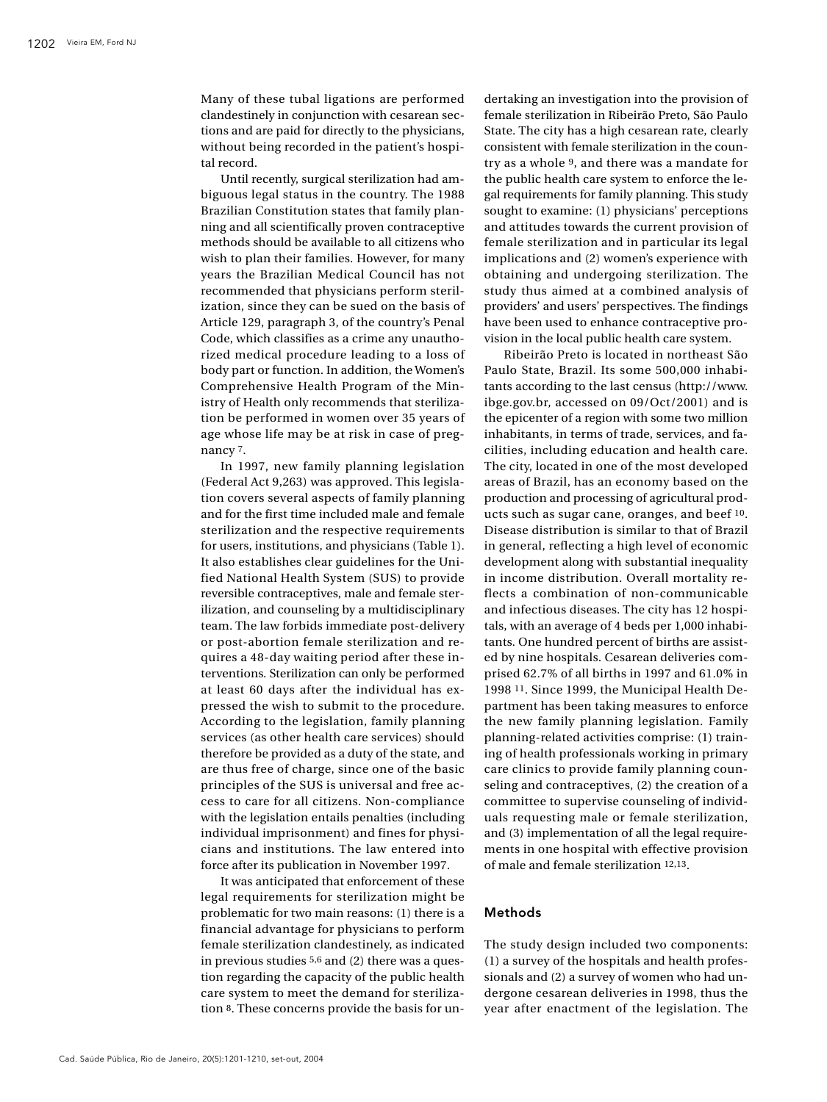Many of these tubal ligations are performed clandestinely in conjunction with cesarean sections and are paid for directly to the physicians, without being recorded in the patient's hospital record.

Until recently, surgical sterilization had ambiguous legal status in the country. The 1988 Brazilian Constitution states that family planning and all scientifically proven contraceptive methods should be available to all citizens who wish to plan their families. However, for many years the Brazilian Medical Council has not recommended that physicians perform sterilization, since they can be sued on the basis of Article 129, paragraph 3, of the country's Penal Code, which classifies as a crime any unauthorized medical procedure leading to a loss of body part or function. In addition, the Women's Comprehensive Health Program of the Ministry of Health only recommends that sterilization be performed in women over 35 years of age whose life may be at risk in case of pregnancy 7.

In 1997, new family planning legislation (Federal Act 9,263) was approved. This legislation covers several aspects of family planning and for the first time included male and female sterilization and the respective requirements for users, institutions, and physicians (Table 1). It also establishes clear guidelines for the Unified National Health System (SUS) to provide reversible contraceptives, male and female sterilization, and counseling by a multidisciplinary team. The law forbids immediate post-delivery or post-abortion female sterilization and requires a 48-day waiting period after these interventions. Sterilization can only be performed at least 60 days after the individual has expressed the wish to submit to the procedure. According to the legislation, family planning services (as other health care services) should therefore be provided as a duty of the state, and are thus free of charge, since one of the basic principles of the SUS is universal and free access to care for all citizens. Non-compliance with the legislation entails penalties (including individual imprisonment) and fines for physicians and institutions. The law entered into force after its publication in November 1997.

It was anticipated that enforcement of these legal requirements for sterilization might be problematic for two main reasons: (1) there is a financial advantage for physicians to perform female sterilization clandestinely, as indicated in previous studies 5,6 and (2) there was a question regarding the capacity of the public health care system to meet the demand for sterilization 8. These concerns provide the basis for undertaking an investigation into the provision of female sterilization in Ribeirão Preto, São Paulo State. The city has a high cesarean rate, clearly consistent with female sterilization in the country as a whole 9, and there was a mandate for the public health care system to enforce the legal requirements for family planning. This study sought to examine: (1) physicians' perceptions and attitudes towards the current provision of female sterilization and in particular its legal implications and (2) women's experience with obtaining and undergoing sterilization. The study thus aimed at a combined analysis of providers' and users' perspectives. The findings have been used to enhance contraceptive provision in the local public health care system.

Ribeirão Preto is located in northeast São Paulo State, Brazil. Its some 500,000 inhabitants according to the last census (http://www. ibge.gov.br, accessed on 09/Oct/2001) and is the epicenter of a region with some two million inhabitants, in terms of trade, services, and facilities, including education and health care. The city, located in one of the most developed areas of Brazil, has an economy based on the production and processing of agricultural products such as sugar cane, oranges, and beef 10. Disease distribution is similar to that of Brazil in general, reflecting a high level of economic development along with substantial inequality in income distribution. Overall mortality reflects a combination of non-communicable and infectious diseases. The city has 12 hospitals, with an average of 4 beds per 1,000 inhabitants. One hundred percent of births are assisted by nine hospitals. Cesarean deliveries comprised 62.7% of all births in 1997 and 61.0% in 1998 11. Since 1999, the Municipal Health Department has been taking measures to enforce the new family planning legislation. Family planning-related activities comprise: (1) training of health professionals working in primary care clinics to provide family planning counseling and contraceptives, (2) the creation of a committee to supervise counseling of individuals requesting male or female sterilization, and (3) implementation of all the legal requirements in one hospital with effective provision of male and female sterilization 12,13.

# Methods

The study design included two components: (1) a survey of the hospitals and health professionals and (2) a survey of women who had undergone cesarean deliveries in 1998, thus the year after enactment of the legislation. The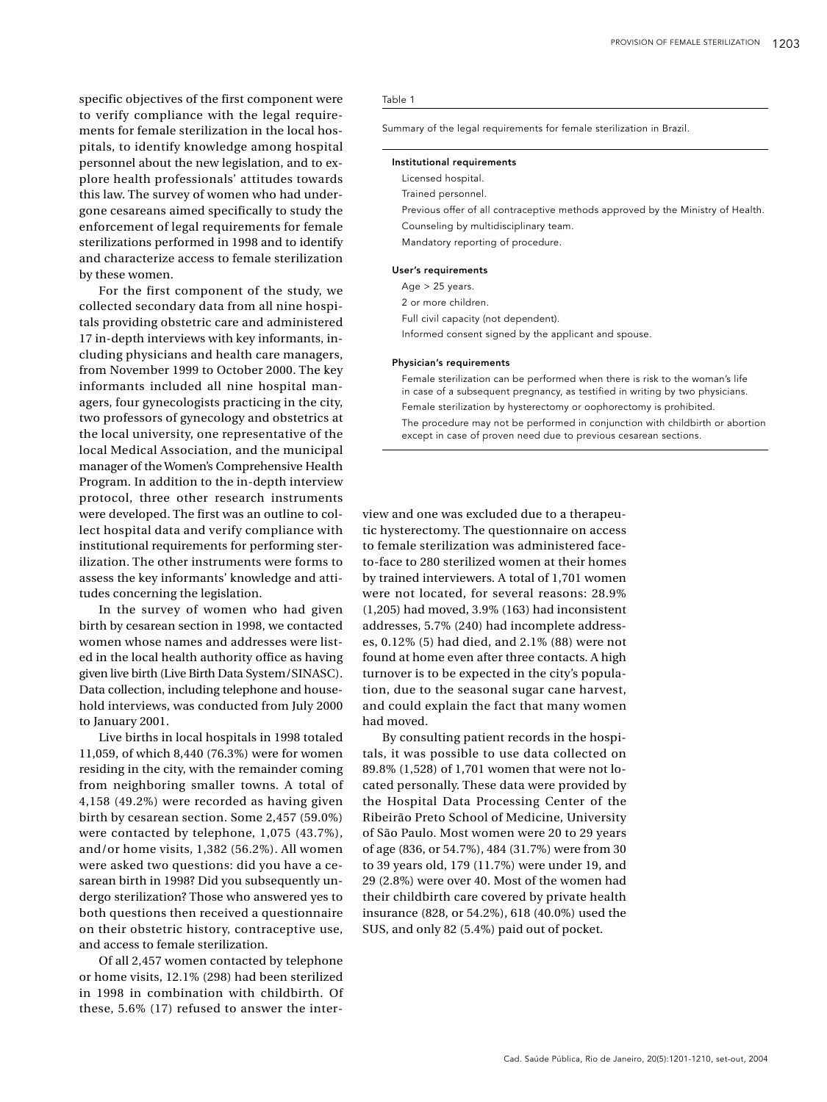specific objectives of the first component were to verify compliance with the legal requirements for female sterilization in the local hospitals, to identify knowledge among hospital personnel about the new legislation, and to explore health professionals' attitudes towards this law. The survey of women who had undergone cesareans aimed specifically to study the enforcement of legal requirements for female sterilizations performed in 1998 and to identify and characterize access to female sterilization by these women.

For the first component of the study, we collected secondary data from all nine hospitals providing obstetric care and administered 17 in-depth interviews with key informants, including physicians and health care managers, from November 1999 to October 2000. The key informants included all nine hospital managers, four gynecologists practicing in the city, two professors of gynecology and obstetrics at the local university, one representative of the local Medical Association, and the municipal manager of the Women's Comprehensive Health Program. In addition to the in-depth interview protocol, three other research instruments were developed. The first was an outline to collect hospital data and verify compliance with institutional requirements for performing sterilization. The other instruments were forms to assess the key informants' knowledge and attitudes concerning the legislation.

In the survey of women who had given birth by cesarean section in 1998, we contacted women whose names and addresses were listed in the local health authority office as having given live birth (Live Birth Data System/SINASC). Data collection, including telephone and household interviews, was conducted from July 2000 to January 2001.

Live births in local hospitals in 1998 totaled 11,059, of which 8,440 (76.3%) were for women residing in the city, with the remainder coming from neighboring smaller towns. A total of 4,158 (49.2%) were recorded as having given birth by cesarean section. Some 2,457 (59.0%) were contacted by telephone, 1,075 (43.7%), and/or home visits, 1,382 (56.2%). All women were asked two questions: did you have a cesarean birth in 1998? Did you subsequently undergo sterilization? Those who answered yes to both questions then received a questionnaire on their obstetric history, contraceptive use, and access to female sterilization.

Of all 2,457 women contacted by telephone or home visits, 12.1% (298) had been sterilized in 1998 in combination with childbirth. Of these, 5.6% (17) refused to answer the inter-

## Table 1

Summary of the legal requirements for female sterilization in Brazil.

#### Institutional requirements

Licensed hospital.

Trained personnel.

Previous offer of all contraceptive methods approved by the Ministry of Health. Counseling by multidisciplinary team. Mandatory reporting of procedure.

#### User's requirements

Age > 25 years.

2 or more children.

Full civil capacity (not dependent).

Informed consent signed by the applicant and spouse.

#### Physician's requirements

Female sterilization can be performed when there is risk to the woman's life in case of a subsequent pregnancy, as testified in writing by two physicians. Female sterilization by hysterectomy or oophorectomy is prohibited. The procedure may not be performed in conjunction with childbirth or abortion except in case of proven need due to previous cesarean sections.

view and one was excluded due to a therapeutic hysterectomy. The questionnaire on access to female sterilization was administered faceto-face to 280 sterilized women at their homes by trained interviewers. A total of 1,701 women were not located, for several reasons: 28.9% (1,205) had moved, 3.9% (163) had inconsistent addresses, 5.7% (240) had incomplete addresses, 0.12% (5) had died, and 2.1% (88) were not found at home even after three contacts. A high turnover is to be expected in the city's population, due to the seasonal sugar cane harvest, and could explain the fact that many women had moved.

By consulting patient records in the hospitals, it was possible to use data collected on 89.8% (1,528) of 1,701 women that were not located personally. These data were provided by the Hospital Data Processing Center of the Ribeirão Preto School of Medicine, University of São Paulo. Most women were 20 to 29 years of age (836, or 54.7%), 484 (31.7%) were from 30 to 39 years old, 179 (11.7%) were under 19, and 29 (2.8%) were over 40. Most of the women had their childbirth care covered by private health insurance (828, or 54.2%), 618 (40.0%) used the SUS, and only 82 (5.4%) paid out of pocket.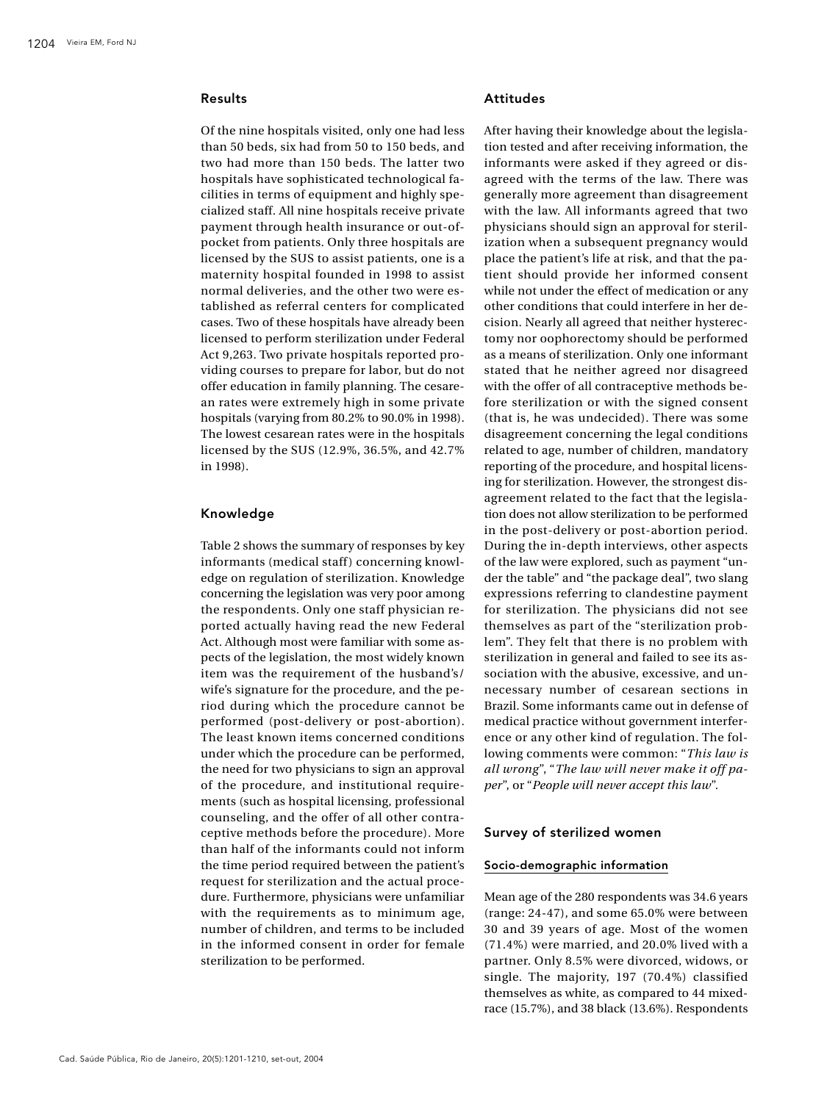## Results

Of the nine hospitals visited, only one had less than 50 beds, six had from 50 to 150 beds, and two had more than 150 beds. The latter two hospitals have sophisticated technological facilities in terms of equipment and highly specialized staff. All nine hospitals receive private payment through health insurance or out-ofpocket from patients. Only three hospitals are licensed by the SUS to assist patients, one is a maternity hospital founded in 1998 to assist normal deliveries, and the other two were established as referral centers for complicated cases. Two of these hospitals have already been licensed to perform sterilization under Federal Act 9,263. Two private hospitals reported providing courses to prepare for labor, but do not offer education in family planning. The cesarean rates were extremely high in some private hospitals (varying from 80.2% to 90.0% in 1998). The lowest cesarean rates were in the hospitals licensed by the SUS (12.9%, 36.5%, and 42.7% in 1998).

# Knowledge

Table 2 shows the summary of responses by key informants (medical staff) concerning knowledge on regulation of sterilization. Knowledge concerning the legislation was very poor among the respondents. Only one staff physician reported actually having read the new Federal Act. Although most were familiar with some aspects of the legislation, the most widely known item was the requirement of the husband's/ wife's signature for the procedure, and the period during which the procedure cannot be performed (post-delivery or post-abortion). The least known items concerned conditions under which the procedure can be performed, the need for two physicians to sign an approval of the procedure, and institutional requirements (such as hospital licensing, professional counseling, and the offer of all other contraceptive methods before the procedure). More than half of the informants could not inform the time period required between the patient's request for sterilization and the actual procedure. Furthermore, physicians were unfamiliar with the requirements as to minimum age, number of children, and terms to be included in the informed consent in order for female sterilization to be performed.

## Attitudes

After having their knowledge about the legislation tested and after receiving information, the informants were asked if they agreed or disagreed with the terms of the law. There was generally more agreement than disagreement with the law. All informants agreed that two physicians should sign an approval for sterilization when a subsequent pregnancy would place the patient's life at risk, and that the patient should provide her informed consent while not under the effect of medication or any other conditions that could interfere in her decision. Nearly all agreed that neither hysterectomy nor oophorectomy should be performed as a means of sterilization. Only one informant stated that he neither agreed nor disagreed with the offer of all contraceptive methods before sterilization or with the signed consent (that is, he was undecided). There was some disagreement concerning the legal conditions related to age, number of children, mandatory reporting of the procedure, and hospital licensing for sterilization. However, the strongest disagreement related to the fact that the legislation does not allow sterilization to be performed in the post-delivery or post-abortion period. During the in-depth interviews, other aspects of the law were explored, such as payment "under the table" and "the package deal", two slang expressions referring to clandestine payment for sterilization. The physicians did not see themselves as part of the "sterilization problem". They felt that there is no problem with sterilization in general and failed to see its association with the abusive, excessive, and unnecessary number of cesarean sections in Brazil. Some informants came out in defense of medical practice without government interference or any other kind of regulation. The following comments were common: "*This law is all wrong*", "*The law will never make it off paper*", or "*People will never accept this law*".

### Survey of sterilized women

### Socio-demographic information

Mean age of the 280 respondents was 34.6 years (range: 24-47), and some 65.0% were between 30 and 39 years of age. Most of the women (71.4%) were married, and 20.0% lived with a partner. Only 8.5% were divorced, widows, or single. The majority, 197 (70.4%) classified themselves as white, as compared to 44 mixedrace (15.7%), and 38 black (13.6%). Respondents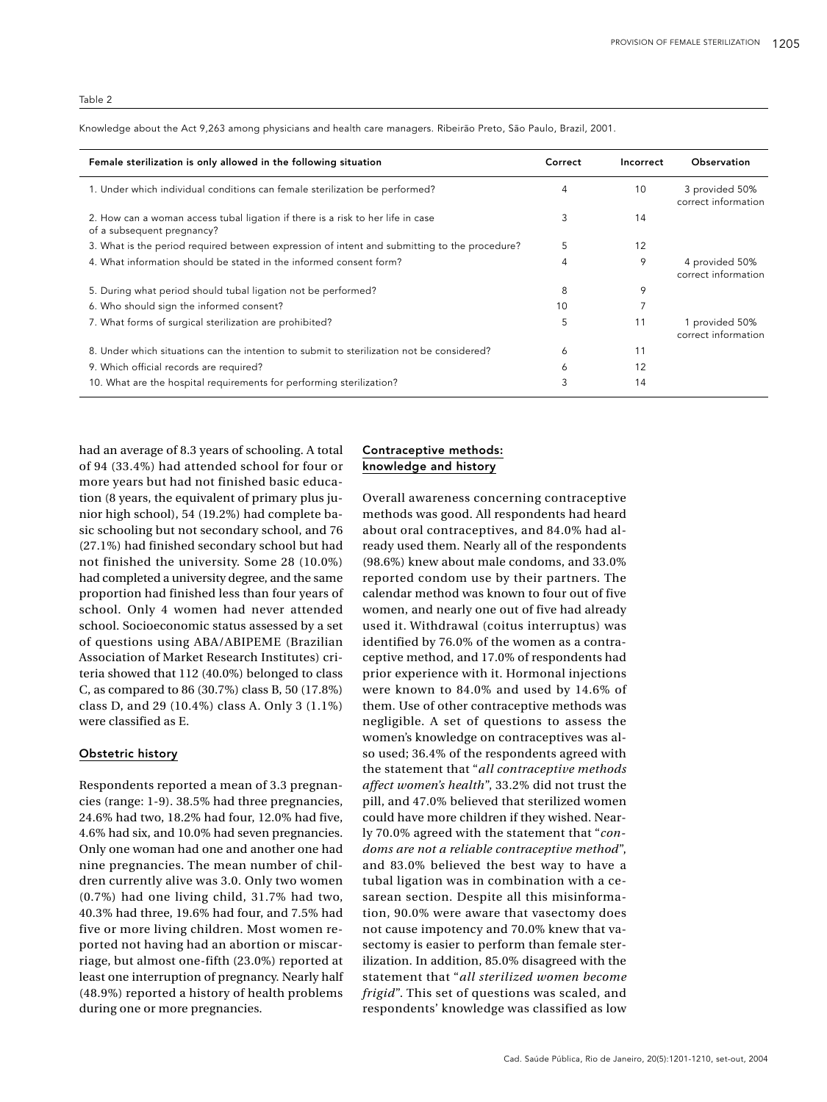#### Table 2

Knowledge about the Act 9,263 among physicians and health care managers. Ribeirão Preto, São Paulo, Brazil, 2001.

| Female sterilization is only allowed in the following situation                                               | Correct | Incorrect | Observation                           |
|---------------------------------------------------------------------------------------------------------------|---------|-----------|---------------------------------------|
| 1. Under which individual conditions can female sterilization be performed?                                   | 4       | 10        | 3 provided 50%<br>correct information |
| 2. How can a woman access tubal ligation if there is a risk to her life in case<br>of a subsequent pregnancy? | 3       | 14        |                                       |
| 3. What is the period required between expression of intent and submitting to the procedure?                  | 5       | 12        |                                       |
| 4. What information should be stated in the informed consent form?                                            | 4       | 9         | 4 provided 50%<br>correct information |
| 5. During what period should tubal ligation not be performed?                                                 | 8       | 9         |                                       |
| 6. Who should sign the informed consent?                                                                      | 10      |           |                                       |
| 7. What forms of surgical sterilization are prohibited?                                                       | 5       | 11        | 1 provided 50%<br>correct information |
| 8. Under which situations can the intention to submit to sterilization not be considered?                     | 6       | 11        |                                       |
| 9. Which official records are required?                                                                       | 6       | 12        |                                       |
| 10. What are the hospital requirements for performing sterilization?                                          | 3       | 14        |                                       |

had an average of 8.3 years of schooling. A total of 94 (33.4%) had attended school for four or more years but had not finished basic education (8 years, the equivalent of primary plus junior high school), 54 (19.2%) had complete basic schooling but not secondary school, and 76 (27.1%) had finished secondary school but had not finished the university. Some 28 (10.0%) had completed a university degree, and the same proportion had finished less than four years of school. Only 4 women had never attended school. Socioeconomic status assessed by a set of questions using ABA/ABIPEME (Brazilian Association of Market Research Institutes) criteria showed that 112 (40.0%) belonged to class C, as compared to 86 (30.7%) class B, 50 (17.8%) class D, and 29 (10.4%) class A. Only 3 (1.1%) were classified as E.

## Obstetric history

Respondents reported a mean of 3.3 pregnancies (range: 1-9). 38.5% had three pregnancies, 24.6% had two, 18.2% had four, 12.0% had five, 4.6% had six, and 10.0% had seven pregnancies. Only one woman had one and another one had nine pregnancies. The mean number of children currently alive was 3.0. Only two women (0.7%) had one living child, 31.7% had two, 40.3% had three, 19.6% had four, and 7.5% had five or more living children. Most women reported not having had an abortion or miscarriage, but almost one-fifth (23.0%) reported at least one interruption of pregnancy. Nearly half (48.9%) reported a history of health problems during one or more pregnancies.

# Contraceptive methods: knowledge and history

Overall awareness concerning contraceptive methods was good. All respondents had heard about oral contraceptives, and 84.0% had already used them. Nearly all of the respondents (98.6%) knew about male condoms, and 33.0% reported condom use by their partners. The calendar method was known to four out of five women, and nearly one out of five had already used it. Withdrawal (coitus interruptus) was identified by 76.0% of the women as a contraceptive method, and 17.0% of respondents had prior experience with it. Hormonal injections were known to 84.0% and used by 14.6% of them. Use of other contraceptive methods was negligible. A set of questions to assess the women's knowledge on contraceptives was also used; 36.4% of the respondents agreed with the statement that "*all contraceptive methods affect women's health*", 33.2% did not trust the pill, and 47.0% believed that sterilized women could have more children if they wished. Nearly 70.0% agreed with the statement that "*condoms are not a reliable contraceptive method*", and 83.0% believed the best way to have a tubal ligation was in combination with a cesarean section. Despite all this misinformation, 90.0% were aware that vasectomy does not cause impotency and 70.0% knew that vasectomy is easier to perform than female sterilization. In addition, 85.0% disagreed with the statement that "*all sterilized women become frigid*". This set of questions was scaled, and respondents' knowledge was classified as low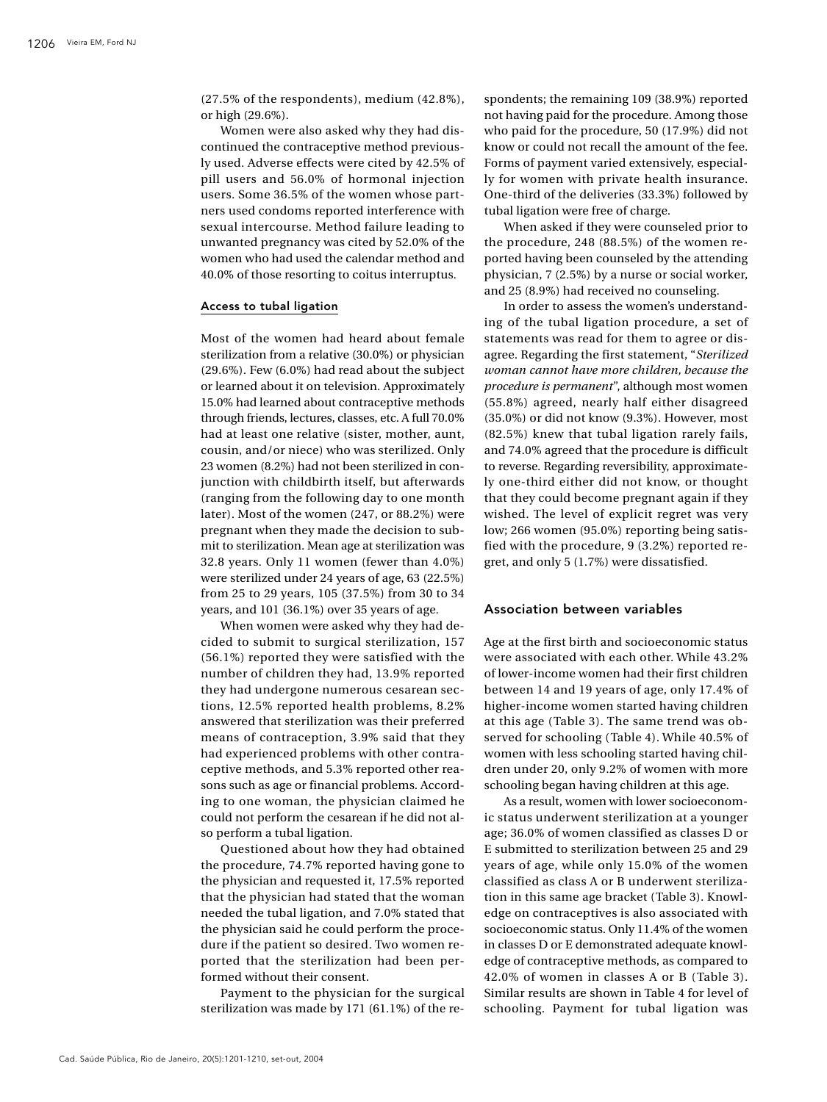(27.5% of the respondents), medium (42.8%), or high (29.6%).

Women were also asked why they had discontinued the contraceptive method previously used. Adverse effects were cited by 42.5% of pill users and 56.0% of hormonal injection users. Some 36.5% of the women whose partners used condoms reported interference with sexual intercourse. Method failure leading to unwanted pregnancy was cited by 52.0% of the women who had used the calendar method and 40.0% of those resorting to coitus interruptus.

### Access to tubal ligation

Most of the women had heard about female sterilization from a relative (30.0%) or physician (29.6%). Few (6.0%) had read about the subject or learned about it on television. Approximately 15.0% had learned about contraceptive methods through friends, lectures, classes, etc. A full 70.0% had at least one relative (sister, mother, aunt, cousin, and/or niece) who was sterilized. Only 23 women (8.2%) had not been sterilized in conjunction with childbirth itself, but afterwards (ranging from the following day to one month later). Most of the women (247, or 88.2%) were pregnant when they made the decision to submit to sterilization. Mean age at sterilization was 32.8 years. Only 11 women (fewer than 4.0%) were sterilized under 24 years of age, 63 (22.5%) from 25 to 29 years, 105 (37.5%) from 30 to 34 years, and 101 (36.1%) over 35 years of age.

When women were asked why they had decided to submit to surgical sterilization, 157 (56.1%) reported they were satisfied with the number of children they had, 13.9% reported they had undergone numerous cesarean sections, 12.5% reported health problems, 8.2% answered that sterilization was their preferred means of contraception, 3.9% said that they had experienced problems with other contraceptive methods, and 5.3% reported other reasons such as age or financial problems. According to one woman, the physician claimed he could not perform the cesarean if he did not also perform a tubal ligation.

Questioned about how they had obtained the procedure, 74.7% reported having gone to the physician and requested it, 17.5% reported that the physician had stated that the woman needed the tubal ligation, and 7.0% stated that the physician said he could perform the procedure if the patient so desired. Two women reported that the sterilization had been performed without their consent.

Payment to the physician for the surgical sterilization was made by 171 (61.1%) of the respondents; the remaining 109 (38.9%) reported not having paid for the procedure. Among those who paid for the procedure, 50 (17.9%) did not know or could not recall the amount of the fee. Forms of payment varied extensively, especially for women with private health insurance. One-third of the deliveries (33.3%) followed by tubal ligation were free of charge.

When asked if they were counseled prior to the procedure, 248 (88.5%) of the women reported having been counseled by the attending physician, 7 (2.5%) by a nurse or social worker, and 25 (8.9%) had received no counseling.

In order to assess the women's understanding of the tubal ligation procedure, a set of statements was read for them to agree or disagree. Regarding the first statement, "*Sterilized woman cannot have more children, because the procedure is permanent*", although most women (55.8%) agreed, nearly half either disagreed (35.0%) or did not know (9.3%). However, most (82.5%) knew that tubal ligation rarely fails, and 74.0% agreed that the procedure is difficult to reverse. Regarding reversibility, approximately one-third either did not know, or thought that they could become pregnant again if they wished. The level of explicit regret was very low; 266 women (95.0%) reporting being satisfied with the procedure, 9 (3.2%) reported regret, and only 5 (1.7%) were dissatisfied.

# Association between variables

Age at the first birth and socioeconomic status were associated with each other. While 43.2% of lower-income women had their first children between 14 and 19 years of age, only 17.4% of higher-income women started having children at this age (Table 3). The same trend was observed for schooling (Table 4). While 40.5% of women with less schooling started having children under 20, only 9.2% of women with more schooling began having children at this age.

As a result, women with lower socioeconomic status underwent sterilization at a younger age; 36.0% of women classified as classes D or E submitted to sterilization between 25 and 29 years of age, while only 15.0% of the women classified as class A or B underwent sterilization in this same age bracket (Table 3). Knowledge on contraceptives is also associated with socioeconomic status. Only 11.4% of the women in classes D or E demonstrated adequate knowledge of contraceptive methods, as compared to 42.0% of women in classes A or B (Table 3). Similar results are shown in Table 4 for level of schooling. Payment for tubal ligation was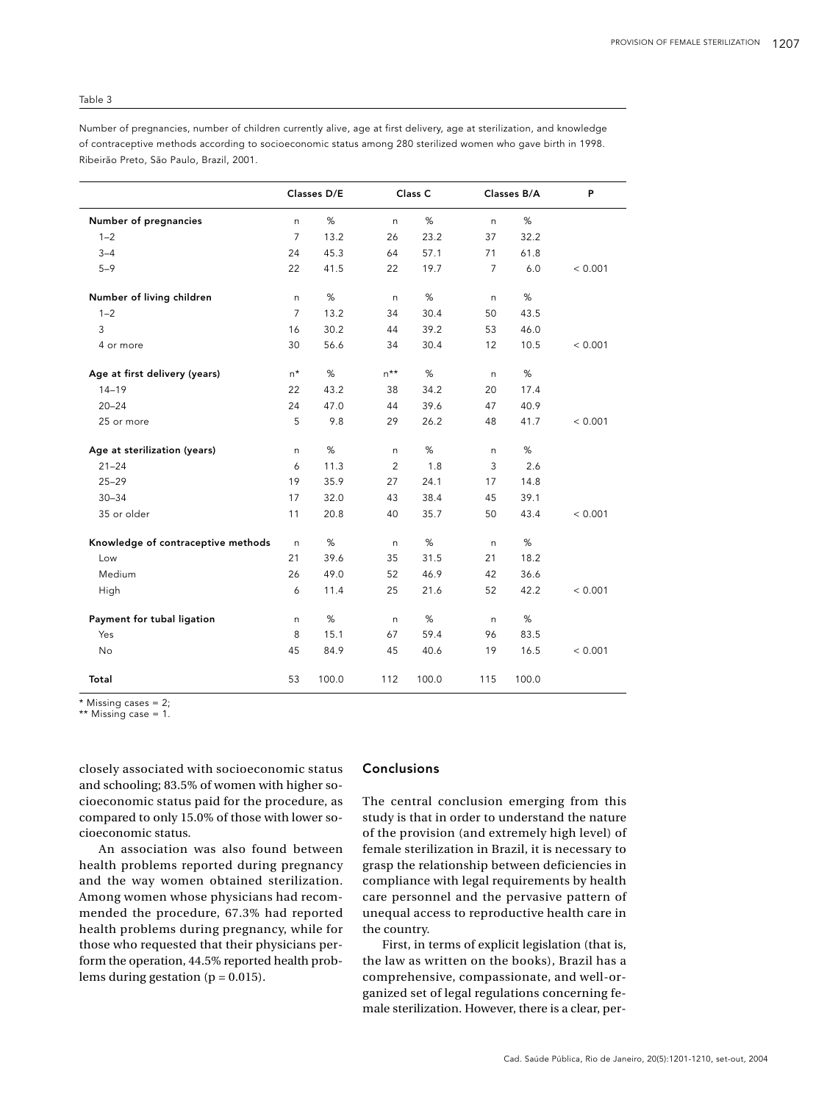#### Table 3

Number of pregnancies, number of children currently alive, age at first delivery, age at sterilization, and knowledge of contraceptive methods according to socioeconomic status among 280 sterilized women who gave birth in 1998. Ribeirão Preto, São Paulo, Brazil, 2001.

|                                    |                | Classes D/E |                | Class C |                | Classes B/A | P       |
|------------------------------------|----------------|-------------|----------------|---------|----------------|-------------|---------|
| Number of pregnancies              | n              | $\%$        | n              | $\%$    | n              | $\%$        |         |
| $1 - 2$                            | $\overline{7}$ | 13.2        | 26             | 23.2    | 37             | 32.2        |         |
| $3 - 4$                            | 24             | 45.3        | 64             | 57.1    | 71             | 61.8        |         |
| $5 - 9$                            | 22             | 41.5        | 22             | 19.7    | $\overline{7}$ | 6.0         | < 0.001 |
| Number of living children          | n.             | %           | n              | %       | n.             | %           |         |
| $1 - 2$                            | $\overline{7}$ | 13.2        | 34             | 30.4    | 50             | 43.5        |         |
| 3                                  | 16             | 30.2        | 44             | 39.2    | 53             | 46.0        |         |
| 4 or more                          | 30             | 56.6        | 34             | 30.4    | 12             | 10.5        | < 0.001 |
| Age at first delivery (years)      | $n^*$          | %           | $n^{**}$       | %       | n              | $\%$        |         |
| $14 - 19$                          | 22             | 43.2        | 38             | 34.2    | 20             | 17.4        |         |
| $20 - 24$                          | 24             | 47.0        | 44             | 39.6    | 47             | 40.9        |         |
| 25 or more                         | 5              | 9.8         | 29             | 26.2    | 48             | 41.7        | < 0.001 |
| Age at sterilization (years)       | n              | $\%$        | n              | $\%$    | n              | $\%$        |         |
| $21 - 24$                          | 6              | 11.3        | $\overline{2}$ | 1.8     | 3              | 2.6         |         |
| $25 - 29$                          | 19             | 35.9        | 27             | 24.1    | 17             | 14.8        |         |
| $30 - 34$                          | 17             | 32.0        | 43             | 38.4    | 45             | 39.1        |         |
| 35 or older                        | 11             | 20.8        | 40             | 35.7    | 50             | 43.4        | < 0.001 |
| Knowledge of contraceptive methods | n              | %           | n              | $\%$    | n.             | %           |         |
| Low                                | 21             | 39.6        | 35             | 31.5    | 21             | 18.2        |         |
| Medium                             | 26             | 49.0        | 52             | 46.9    | 42             | 36.6        |         |
| High                               | 6              | 11.4        | 25             | 21.6    | 52             | 42.2        | < 0.001 |
| Payment for tubal ligation         | n              | $\%$        | n              | $\%$    | n              | $\%$        |         |
| Yes                                | 8              | 15.1        | 67             | 59.4    | 96             | 83.5        |         |
| No                                 | 45             | 84.9        | 45             | 40.6    | 19             | 16.5        | < 0.001 |
| Total                              | 53             | 100.0       | 112            | 100.0   | 115            | 100.0       |         |

\* Missing cases = 2;

\*\* Missing case = 1.

closely associated with socioeconomic status and schooling; 83.5% of women with higher socioeconomic status paid for the procedure, as compared to only 15.0% of those with lower socioeconomic status.

An association was also found between health problems reported during pregnancy and the way women obtained sterilization. Among women whose physicians had recommended the procedure, 67.3% had reported health problems during pregnancy, while for those who requested that their physicians perform the operation, 44.5% reported health problems during gestation ( $p = 0.015$ ).

# Conclusions

The central conclusion emerging from this study is that in order to understand the nature of the provision (and extremely high level) of female sterilization in Brazil, it is necessary to grasp the relationship between deficiencies in compliance with legal requirements by health care personnel and the pervasive pattern of unequal access to reproductive health care in the country.

First, in terms of explicit legislation (that is, the law as written on the books), Brazil has a comprehensive, compassionate, and well-organized set of legal regulations concerning female sterilization. However, there is a clear, per-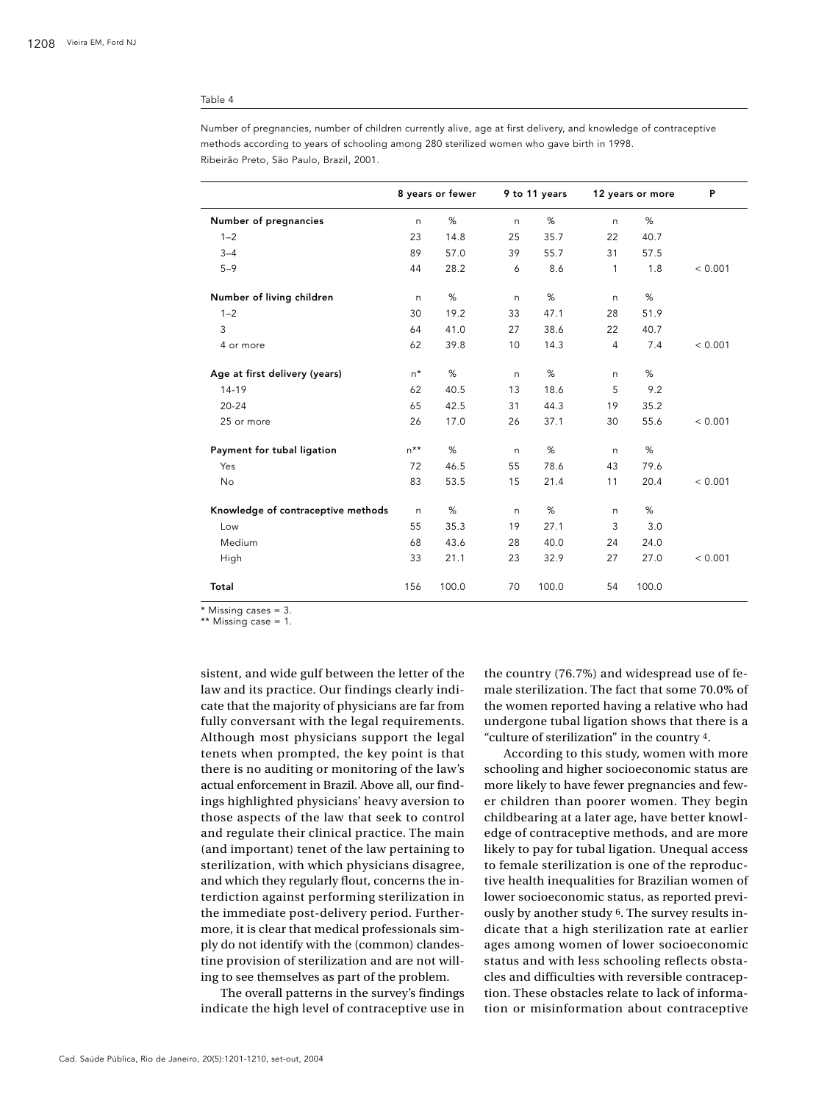#### Table 4

Number of pregnancies, number of children currently alive, age at first delivery, and knowledge of contraceptive methods according to years of schooling among 280 sterilized women who gave birth in 1998. Ribeirão Preto, São Paulo, Brazil, 2001.

|                                    | 8 years or fewer |       | 9 to 11 years |       | 12 years or more |       | P       |
|------------------------------------|------------------|-------|---------------|-------|------------------|-------|---------|
| Number of pregnancies              | n.               | %     | n.            | %     | n                | %     |         |
| $1 - 2$                            | 23               | 14.8  | 25            | 35.7  | 22               | 40.7  |         |
| $3 - 4$                            | 89               | 57.0  | 39            | 55.7  | 31               | 57.5  |         |
| $5 - 9$                            | 44               | 28.2  | 6             | 8.6   | 1                | 1.8   | < 0.001 |
| Number of living children          | n                | %     | n             | %     | n                | %     |         |
| $1 - 2$                            | 30               | 19.2  | 33            | 47.1  | 28               | 51.9  |         |
| 3                                  | 64               | 41.0  | 27            | 38.6  | 22               | 40.7  |         |
| 4 or more                          | 62               | 39.8  | 10            | 14.3  | 4                | 7.4   | < 0.001 |
| Age at first delivery (years)      | $n^{\star}$      | %     | n             | %     | n                | %     |         |
| $14 - 19$                          | 62               | 40.5  | 13            | 18.6  | 5                | 9.2   |         |
| $20 - 24$                          | 65               | 42.5  | 31            | 44.3  | 19               | 35.2  |         |
| 25 or more                         | 26               | 17.0  | 26            | 37.1  | 30               | 55.6  | < 0.001 |
| Payment for tubal ligation         | $n^{**}$         | %     | n.            | %     | n.               | %     |         |
| Yes                                | 72               | 46.5  | 55            | 78.6  | 43               | 79.6  |         |
| No                                 | 83               | 53.5  | 15            | 21.4  | 11               | 20.4  | < 0.001 |
| Knowledge of contraceptive methods | n                | %     | n             | %     | n                | %     |         |
| Low                                | 55               | 35.3  | 19            | 27.1  | 3                | 3.0   |         |
| Medium                             | 68               | 43.6  | 28            | 40.0  | 24               | 24.0  |         |
| High                               | 33               | 21.1  | 23            | 32.9  | 27               | 27.0  | < 0.001 |
| Total                              | 156              | 100.0 | 70            | 100.0 | 54               | 100.0 |         |

\* Missing cases = 3.

\*\* Missing case = 1.

sistent, and wide gulf between the letter of the law and its practice. Our findings clearly indicate that the majority of physicians are far from fully conversant with the legal requirements. Although most physicians support the legal tenets when prompted, the key point is that there is no auditing or monitoring of the law's actual enforcement in Brazil. Above all, our findings highlighted physicians' heavy aversion to those aspects of the law that seek to control and regulate their clinical practice. The main (and important) tenet of the law pertaining to sterilization, with which physicians disagree, and which they regularly flout, concerns the interdiction against performing sterilization in the immediate post-delivery period. Furthermore, it is clear that medical professionals simply do not identify with the (common) clandestine provision of sterilization and are not willing to see themselves as part of the problem.

The overall patterns in the survey's findings indicate the high level of contraceptive use in the country (76.7%) and widespread use of female sterilization. The fact that some 70.0% of the women reported having a relative who had undergone tubal ligation shows that there is a "culture of sterilization" in the country 4.

According to this study, women with more schooling and higher socioeconomic status are more likely to have fewer pregnancies and fewer children than poorer women. They begin childbearing at a later age, have better knowledge of contraceptive methods, and are more likely to pay for tubal ligation. Unequal access to female sterilization is one of the reproductive health inequalities for Brazilian women of lower socioeconomic status, as reported previously by another study 6. The survey results indicate that a high sterilization rate at earlier ages among women of lower socioeconomic status and with less schooling reflects obstacles and difficulties with reversible contraception. These obstacles relate to lack of information or misinformation about contraceptive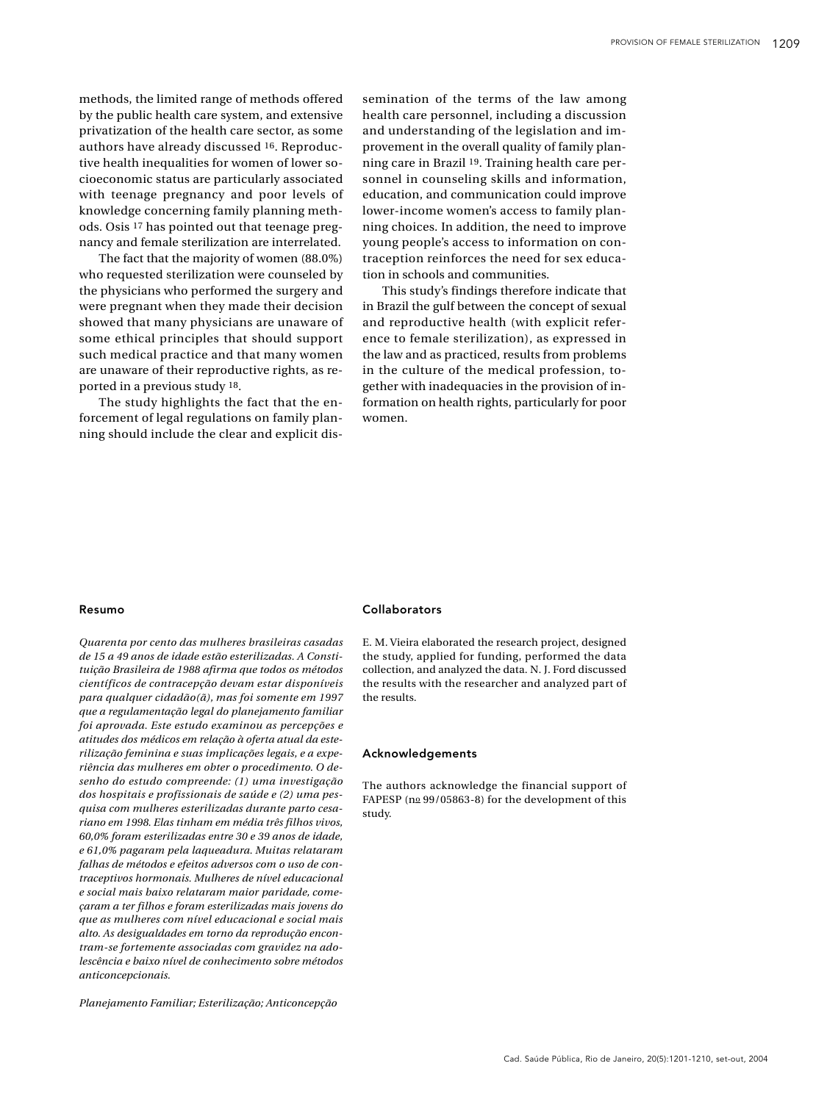methods, the limited range of methods offered by the public health care system, and extensive privatization of the health care sector, as some authors have already discussed 16. Reproductive health inequalities for women of lower socioeconomic status are particularly associated with teenage pregnancy and poor levels of knowledge concerning family planning methods. Osis 17 has pointed out that teenage pregnancy and female sterilization are interrelated.

The fact that the majority of women (88.0%) who requested sterilization were counseled by the physicians who performed the surgery and were pregnant when they made their decision showed that many physicians are unaware of some ethical principles that should support such medical practice and that many women are unaware of their reproductive rights, as reported in a previous study 18.

The study highlights the fact that the enforcement of legal regulations on family planning should include the clear and explicit dis-

semination of the terms of the law among health care personnel, including a discussion and understanding of the legislation and improvement in the overall quality of family planning care in Brazil 19. Training health care personnel in counseling skills and information, education, and communication could improve lower-income women's access to family planning choices. In addition, the need to improve young people's access to information on contraception reinforces the need for sex education in schools and communities.

This study's findings therefore indicate that in Brazil the gulf between the concept of sexual and reproductive health (with explicit reference to female sterilization), as expressed in the law and as practiced, results from problems in the culture of the medical profession, together with inadequacies in the provision of information on health rights, particularly for poor women.

#### Resumo

*Quarenta por cento das mulheres brasileiras casadas de 15 a 49 anos de idade estão esterilizadas. A Constituição Brasileira de 1988 afirma que todos os métodos científicos de contracepção devam estar disponíveis para qualquer cidadão(ã), mas foi somente em 1997 que a regulamentação legal do planejamento familiar foi aprovada. Este estudo examinou as percepções e atitudes dos médicos em relação à oferta atual da esterilização feminina e suas implicações legais, e a experiência das mulheres em obter o procedimento. O desenho do estudo compreende: (1) uma investigação dos hospitais e profissionais de saúde e (2) uma pesquisa com mulheres esterilizadas durante parto cesariano em 1998. Elas tinham em média três filhos vivos, 60,0% foram esterilizadas entre 30 e 39 anos de idade, e 61,0% pagaram pela laqueadura. Muitas relataram falhas de métodos e efeitos adversos com o uso de contraceptivos hormonais. Mulheres de nível educacional e social mais baixo relataram maior paridade, começaram a ter filhos e foram esterilizadas mais jovens do que as mulheres com nível educacional e social mais alto. As desigualdades em torno da reprodução encontram-se fortemente associadas com gravidez na adolescência e baixo nível de conhecimento sobre métodos anticoncepcionais.*

*Planejamento Familiar; Esterilização; Anticoncepção*

## Collaborators

E. M. Vieira elaborated the research project, designed the study, applied for funding, performed the data collection, and analyzed the data. N. J. Ford discussed the results with the researcher and analyzed part of the results.

#### Acknowledgements

The authors acknowledge the financial support of FAPESP ( $n \Omega$  99/05863-8) for the development of this study.